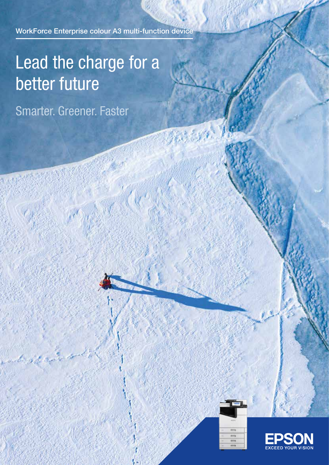WorkForce Enterprise colour A3 multi-function device

# Lead the charge for a better future

Smarter. Greener. Faster



844

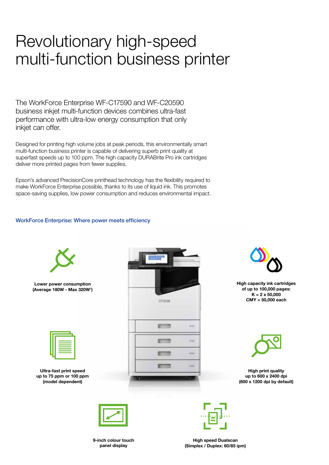## Revolutionary high-speed multi-function business printer

The WorkForce Enterprise WF-C17590 and WF-C20590 business inkjet multi-function devices combines ultra-fast performance with ultra-low energy consumption that only inkiet can offer.

Designed for printing high volume jobs at peak periods, this environmentally smart multi-function business printer is capable of delivering superb print quality at superfast speeds up to 100 ppm. The high capacity DURABrite Pro ink cartridges deliver more printed pages from fewer supplies.

Epson's advanced PrecisionCore printhead technology has the flexibility required to make WorkForce Enterprise possible, thanks to its use of liquid ink. This promotes space-saving supplies, low power consumption and reduces environmental impact.

#### WorkForce Enterprise: Where power meets efficiency



9-inch colour touch panel display

High speed Dualscan (Simplex / Duplex: 60/85 ipm)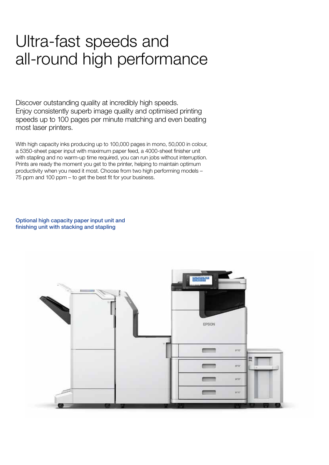### Ultra-fast speeds and all-round high performance

Discover outstanding quality at incredibly high speeds. Enjoy consistently superb image quality and optimised printing speeds up to 100 pages per minute matching and even beating most laser printers.

With high capacity inks producing up to 100,000 pages in mono, 50,000 in colour, a 5350-sheet paper input with maximum paper feed, a 4000-sheet finisher unit with stapling and no warm-up time required, you can run jobs without interruption. Prints are ready the moment you get to the printer, helping to maintain optimum productivity when you need it most. Choose from two high performing models – 75 ppm and 100 ppm – to get the best fit for your business.

Optional high capacity paper input unit and finishing unit with stacking and stapling

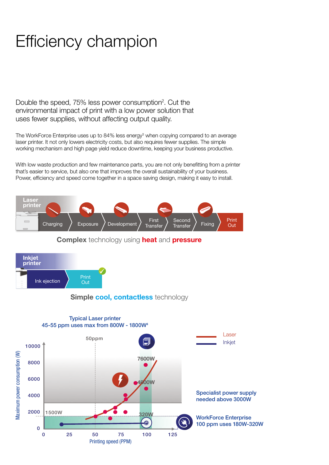## Efficiency champion

Double the speed, 75% less power consumption<sup>2</sup>. Cut the environmental impact of print with a low power solution that uses fewer supplies, without affecting output quality.

The WorkForce Enterprise uses up to 84% less energy<sup>3</sup> when copying compared to an average laser printer. It not only lowers electricity costs, but also requires fewer supplies. The simple working mechanism and high page yield reduce downtime, keeping your business productive.

With low waste production and few maintenance parts, you are not only benefitting from a printer that's easier to service, but also one that improves the overall sustainability of your business. Power, efficiency and speed come together in a space saving design, making it easy to install.







#### Simple cool, contactless technology

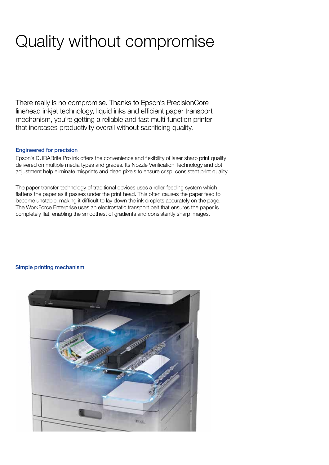## Quality without compromise

There really is no compromise. Thanks to Epson's PrecisionCore linehead inkjet technology, liquid inks and efficient paper transport mechanism, you're getting a reliable and fast multi-function printer that increases productivity overall without sacrificing quality.

#### Engineered for precision

Epson's DURABrite Pro ink offers the convenience and flexibility of laser sharp print quality delivered on multiple media types and grades. Its Nozzle Verification Technology and dot adjustment help eliminate misprints and dead pixels to ensure crisp, consistent print quality.

The paper transfer technology of traditional devices uses a roller feeding system which flattens the paper as it passes under the print head. This often causes the paper feed to become unstable, making it difficult to lay down the ink droplets accurately on the page. The WorkForce Enterprise uses an electrostatic transport belt that ensures the paper is completely flat, enabling the smoothest of gradients and consistently sharp images.

#### Simple printing mechanism

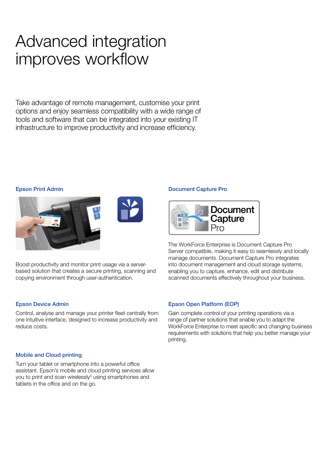## Advanced integration improves workflow

Take advantage of remote management, customise your print options and enjoy seamless compatibility with a wide range of tools and software that can be integrated into your existing IT infrastructure to improve productivity and increase efficiency.

#### Epson Print Admin





Boost productivity and monitor print usage via a serverbased solution that creates a secure printing, scanning and copying environment through user-authentication.

#### Epson Device Admin

Control, analyse and manage your printer fleet centrally from one intuitive interface, designed to increase productivity and reduce costs.

#### Mobile and Cloud printing

Turn your tablet or smartphone into a powerful office assistant. Epson's mobile and cloud printing services allow you to print and scan wirelessly<sup>5</sup> using smartphones and tablets in the office and on the go.

#### Document Capture Pro



The WorkForce Enterprise is Document Capture Pro Server compatible, making it easy to seamlessly and locally manage documents. Document Capture Pro integrates into document management and cloud storage systems, enabling you to capture, enhance, edit and distribute scanned documents effectively throughout your business.

#### Epson Open Platform (EOP)

Gain complete control of your printing operations via a range of partner solutions that enable you to adapt the WorkForce Enterprise to meet specific and changing business requirements with solutions that help you better manage your printing.